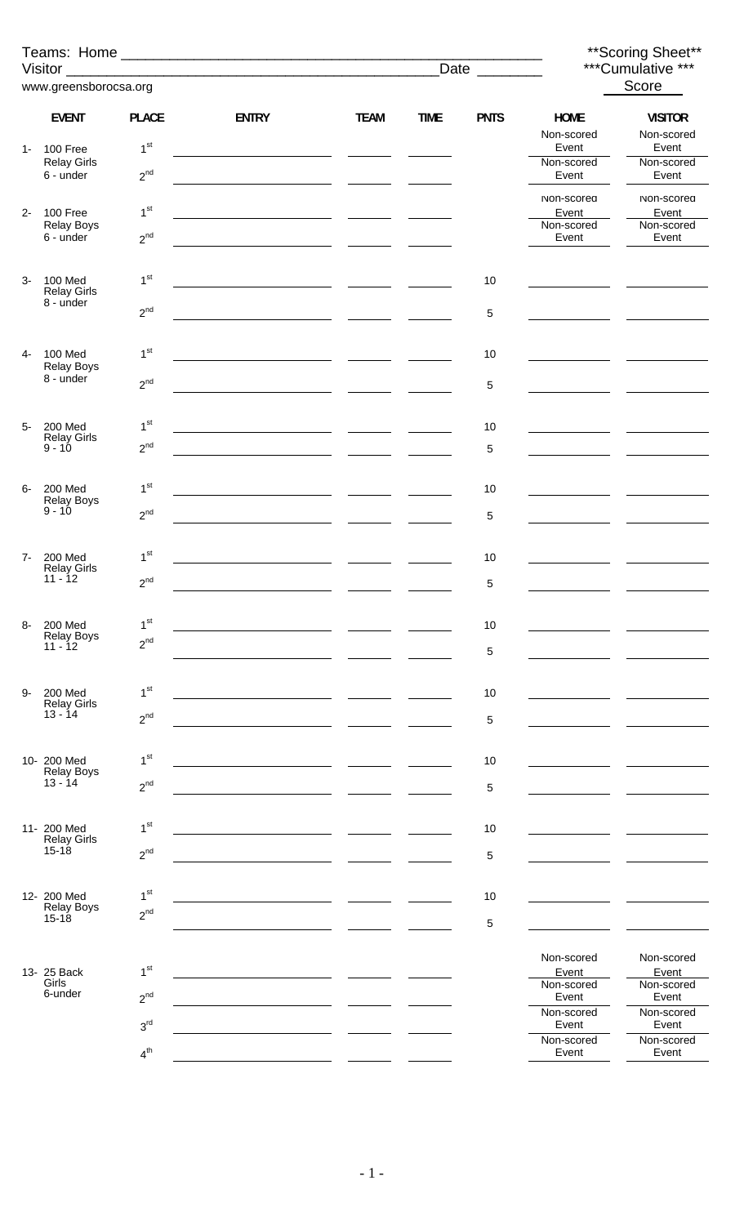|       |                                           |                             |                                                               |             |             |             |                           | ** Scoring Sheet**<br>***Cumulative *** |
|-------|-------------------------------------------|-----------------------------|---------------------------------------------------------------|-------------|-------------|-------------|---------------------------|-----------------------------------------|
|       | www.greensborocsa.org                     |                             |                                                               |             |             |             |                           | Score                                   |
|       | <b>EVENT</b>                              | <b>PLACE</b>                | <b>ENTRY</b>                                                  | <b>TEAM</b> | <b>TIME</b> | <b>PNTS</b> | <b>HOME</b><br>Non-scored | <b>VISITOR</b><br>Non-scored            |
| $1 -$ | 100 Free<br><b>Relay Girls</b>            | 1 <sup>st</sup>             |                                                               |             |             |             | Event<br>Non-scored       | Event<br>Non-scored                     |
|       | 6 - under                                 | $2^{nd}$                    |                                                               |             |             |             | Event                     | Event                                   |
| $2 -$ | 100 Free                                  | 1 <sup>st</sup>             |                                                               |             |             |             | Non-scored<br>Event       | Non-scored<br>Event                     |
|       | <b>Relay Boys</b><br>6 - under            | $2^{nd}$                    |                                                               |             |             |             | Non-scored<br>Event       | Non-scored<br>Event                     |
| $3-$  | 100 Med                                   | 1 <sup>st</sup>             |                                                               |             |             | $10$        |                           |                                         |
|       | <b>Relay Girls</b><br>8 - under           | $2^{nd}$                    |                                                               |             |             | 5           |                           |                                         |
|       |                                           |                             |                                                               |             |             |             |                           |                                         |
| 4-    | 100 Med<br><b>Relay Boys</b><br>8 - under | 1 <sup>st</sup>             |                                                               |             |             | $10$        |                           |                                         |
|       |                                           | $2^{nd}$                    |                                                               |             |             | 5           |                           |                                         |
| $5-$  | <b>200 Med</b><br><b>Relay Girls</b>      | 1 <sup>st</sup>             |                                                               |             |             | $10$        |                           |                                         |
|       | $9 - 10$                                  | 2 <sup>nd</sup>             | <u> 1990 - Johann Marie Barn, mars an t-Amerikaansk konst</u> |             |             | 5           |                           |                                         |
| 6-    | <b>200 Med</b>                            | 1 <sup>st</sup>             |                                                               |             |             | 10          |                           |                                         |
|       | Relay Boys<br>$9 - 10$                    | $2^{nd}$                    |                                                               |             |             | 5           |                           |                                         |
| $7-$  | <b>200 Med</b>                            | 1 <sup>st</sup>             |                                                               |             |             | 10          |                           |                                         |
|       | <b>Relay Girls</b><br>$11 - 12$           | 2 <sup>nd</sup>             |                                                               |             |             | 5           |                           |                                         |
|       |                                           |                             |                                                               |             |             |             |                           |                                         |
| 8-    | <b>200 Med</b><br><b>Relay Boys</b>       | 1 <sup>st</sup><br>$2^{nd}$ |                                                               |             |             | 10          |                           |                                         |
|       | $11 - 12$                                 |                             |                                                               |             |             | 5           |                           |                                         |
| 9-    | <b>200 Med</b><br><b>Relay Girls</b>      | 1 <sup>st</sup>             |                                                               |             |             | 10          |                           |                                         |
|       | $13 - 14$                                 | $2^{nd}$                    |                                                               |             |             | 5           |                           |                                         |
|       | 10- 200 Med                               | 1 <sup>st</sup>             |                                                               |             |             | 10          |                           |                                         |
|       | <b>Relay Boys</b><br>$13 - 14$            | $2^{nd}$                    |                                                               |             |             | 5           |                           |                                         |
|       | 11- 200 Med                               | 1 <sup>st</sup>             |                                                               |             |             | 10          |                           |                                         |
|       | <b>Relay Girls</b><br>$15 - 18$           | $2^{nd}$                    |                                                               |             |             | 5           |                           |                                         |
|       |                                           |                             |                                                               |             |             |             |                           |                                         |
|       | 12- 200 Med<br><b>Relay Boys</b>          | 1 <sup>st</sup><br>$2^{nd}$ |                                                               |             |             | 10          |                           |                                         |
|       | $15 - 18$                                 |                             |                                                               |             |             | 5           |                           |                                         |
|       | 13- 25 Back                               | 1 <sup>st</sup>             |                                                               |             |             |             | Non-scored<br>Event       | Non-scored<br>Event                     |
|       | Girls<br>6-under                          | $2^{nd}$                    |                                                               |             |             |             | Non-scored<br>Event       | Non-scored<br>Event                     |
|       |                                           | 3 <sup>rd</sup>             |                                                               |             |             |             | Non-scored<br>Event       | Non-scored<br>Event                     |
|       |                                           | 4 <sup>th</sup>             |                                                               |             |             |             | Non-scored<br>Event       | Non-scored<br>Event                     |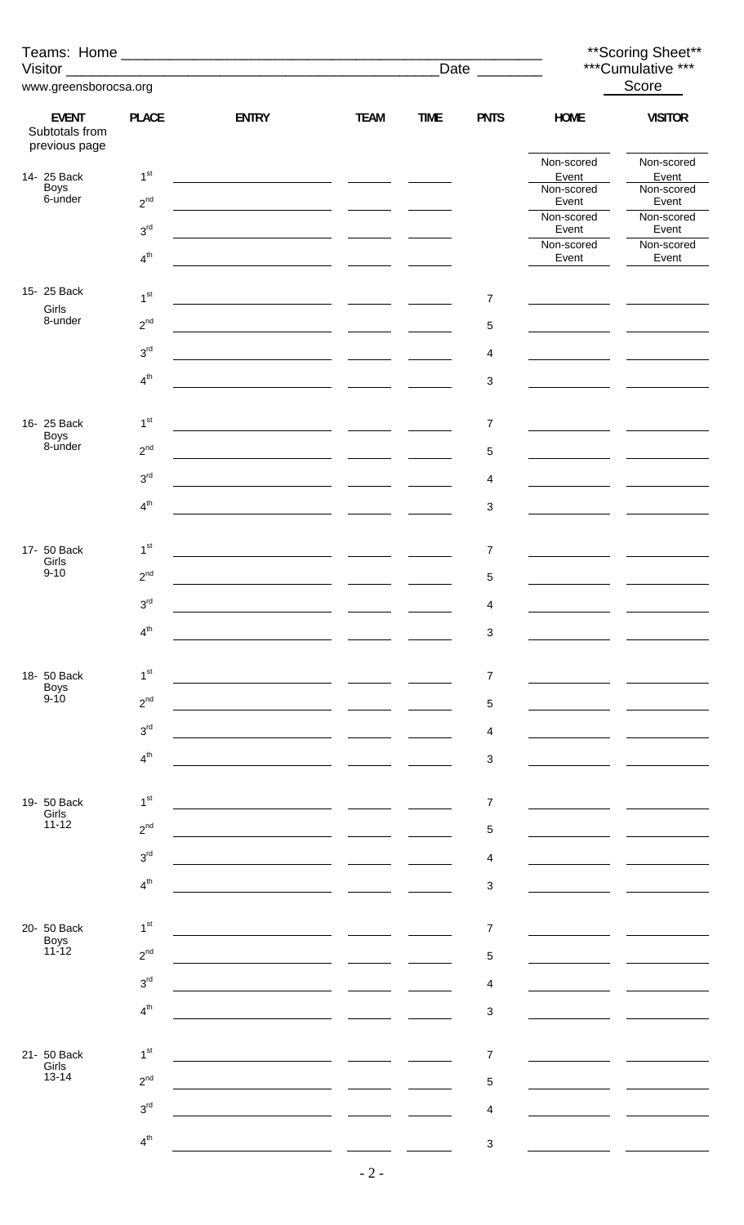|                                                 |                 |                                                                       |                                                                                                         |             |                           |                     | **Scoring Sheet**          |
|-------------------------------------------------|-----------------|-----------------------------------------------------------------------|---------------------------------------------------------------------------------------------------------|-------------|---------------------------|---------------------|----------------------------|
| www.greensborocsa.org                           |                 |                                                                       |                                                                                                         |             | Date _______              |                     | ***Cumulative ***<br>Score |
|                                                 |                 |                                                                       |                                                                                                         |             |                           |                     |                            |
| <b>EVENT</b><br>Subtotals from<br>previous page | <b>PLACE</b>    | <b>ENTRY</b>                                                          | <b>TEAM</b>                                                                                             | <b>TIME</b> | <b>PNTS</b>               | <b>HOME</b>         | <b>VISITOR</b>             |
| 14- 25 Back                                     | 1 <sup>st</sup> |                                                                       |                                                                                                         |             |                           | Non-scored<br>Event | Non-scored<br>Event        |
| Boys<br>6-under                                 | $2^{nd}$        |                                                                       |                                                                                                         |             |                           | Non-scored<br>Event | Non-scored<br>Event        |
|                                                 | $3^{\rm rd}$    | <u> 1980 - Jan Barbara Barbara, ma</u>                                | $\frac{1}{2}$ and $\frac{1}{2}$ and $\frac{1}{2}$ and $\frac{1}{2}$ and $\frac{1}{2}$ and $\frac{1}{2}$ |             |                           | Non-scored<br>Event | Non-scored<br>Event        |
|                                                 | $4^{\text{th}}$ | <u>and the community of the community of the community</u>            |                                                                                                         |             |                           | Non-scored<br>Event | Non-scored<br>Event        |
| 15- 25 Back                                     | 1 <sup>st</sup> |                                                                       |                                                                                                         |             | $\boldsymbol{7}$          |                     |                            |
| Girls<br>8-under                                | $2^{nd}$        |                                                                       |                                                                                                         |             |                           |                     |                            |
|                                                 | $3^{\rm rd}$    |                                                                       | $\overline{\phantom{a}}$                                                                                |             | 5                         |                     |                            |
|                                                 |                 |                                                                       | $\overline{\phantom{a}}$                                                                                |             | 4                         |                     |                            |
|                                                 | $4^{\text{th}}$ |                                                                       |                                                                                                         |             | $\sqrt{3}$                |                     |                            |
| 16- 25 Back<br><b>Boys</b>                      | 1 <sup>st</sup> |                                                                       |                                                                                                         |             | $\overline{7}$            |                     |                            |
| 8-under                                         | $2^{nd}$        |                                                                       |                                                                                                         |             | $\sqrt{5}$                |                     |                            |
|                                                 | $3^{\text{rd}}$ |                                                                       |                                                                                                         |             | 4                         |                     |                            |
|                                                 | $4^{th}$        |                                                                       |                                                                                                         |             | $\ensuremath{\mathsf{3}}$ |                     |                            |
| 17- 50 Back                                     | 1 <sup>st</sup> |                                                                       |                                                                                                         |             | $\overline{7}$            |                     |                            |
| Girls<br>$9 - 10$                               | $2^{nd}$        |                                                                       |                                                                                                         |             | $\mathbf 5$               |                     |                            |
|                                                 | 3 <sup>rd</sup> |                                                                       |                                                                                                         |             | $\overline{4}$            |                     |                            |
|                                                 | 4 <sup>th</sup> |                                                                       |                                                                                                         |             | $\sqrt{3}$                |                     |                            |
|                                                 | 1 <sup>st</sup> |                                                                       |                                                                                                         |             |                           |                     |                            |
| 18- 50 Back<br><b>Boys</b><br>$9 - 10$          | $2^{nd}$        |                                                                       |                                                                                                         |             | 7<br>$\mathbf 5$          |                     |                            |
|                                                 | 3 <sup>rd</sup> |                                                                       |                                                                                                         |             | $\overline{4}$            |                     |                            |
|                                                 | 4 <sup>th</sup> |                                                                       |                                                                                                         |             | $\ensuremath{\mathsf{3}}$ |                     |                            |
|                                                 |                 |                                                                       |                                                                                                         |             |                           |                     |                            |
| 19- 50 Back<br>Girls                            | 1 <sup>st</sup> |                                                                       |                                                                                                         |             | $\overline{7}$            |                     |                            |
| $11 - 12$                                       | $2^{nd}$        |                                                                       |                                                                                                         |             | $\mathbf 5$               |                     |                            |
|                                                 | 3 <sup>rd</sup> |                                                                       |                                                                                                         |             | 4                         |                     |                            |
|                                                 | $4^{th}$        |                                                                       |                                                                                                         |             | $\sqrt{3}$                |                     |                            |
| 20- 50 Back                                     | 1 <sup>st</sup> | <u> 1989 - Johann Marie Barn, mars an t-Amerikaansk kommunister (</u> |                                                                                                         |             | $\overline{7}$            |                     |                            |
| Boys<br>11-12                                   | $2^{nd}$        |                                                                       |                                                                                                         |             | $\mathbf 5$               |                     |                            |
|                                                 | 3 <sup>rd</sup> |                                                                       |                                                                                                         |             | 4                         |                     |                            |
|                                                 | 4 <sup>th</sup> |                                                                       |                                                                                                         |             | 3                         |                     |                            |
|                                                 |                 |                                                                       |                                                                                                         |             |                           |                     |                            |
| 21- 50 Back<br>Girls                            | 1 <sup>st</sup> |                                                                       |                                                                                                         |             | $\overline{7}$            |                     |                            |
| $13 - 14$                                       | 2 <sup>nd</sup> |                                                                       |                                                                                                         |             | $\mathbf 5$               |                     |                            |
|                                                 | 3 <sup>rd</sup> |                                                                       |                                                                                                         |             | 4                         |                     |                            |
|                                                 | 4 <sup>th</sup> |                                                                       |                                                                                                         |             | $\ensuremath{\mathsf{3}}$ |                     |                            |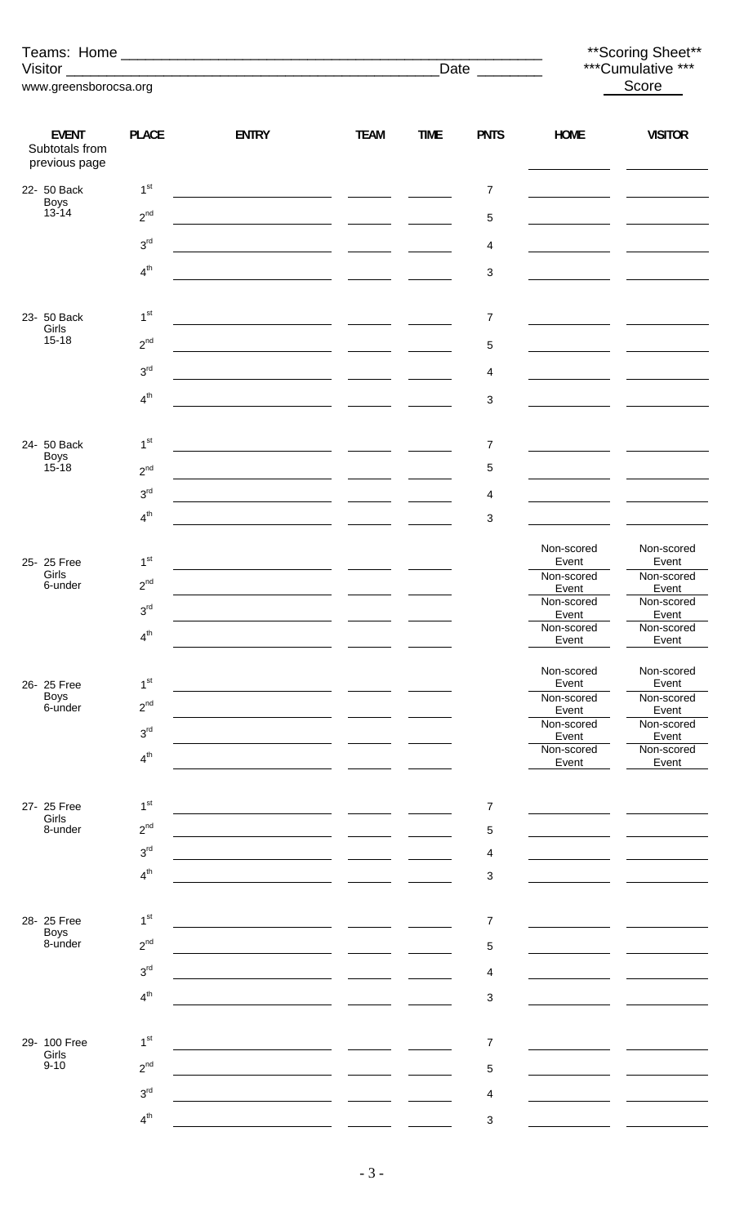|                                                 |                                    |                                                                                                                      |                            |             | Date $\overline{\phantom{a} \phantom{a}}$ |                     | ** Scoring Sheet**<br>***Cumulative *** |
|-------------------------------------------------|------------------------------------|----------------------------------------------------------------------------------------------------------------------|----------------------------|-------------|-------------------------------------------|---------------------|-----------------------------------------|
| www.greensborocsa.org                           |                                    |                                                                                                                      |                            |             |                                           |                     | Score                                   |
|                                                 |                                    |                                                                                                                      |                            |             |                                           |                     |                                         |
| <b>EVENT</b><br>Subtotals from<br>previous page | <b>PLACE</b>                       | <b>ENTRY</b>                                                                                                         | <b>TEAM</b>                | <b>TIME</b> | <b>PNTS</b>                               | <b>HOME</b>         | <b>VISITOR</b>                          |
| 22- 50 Back                                     | 1 <sup>st</sup>                    |                                                                                                                      |                            |             | 7                                         |                     |                                         |
| Boys<br>13-14                                   | $2^{nd}$                           | <u> 1990 - Johann Marie Barn, mars an t-Amerikaansk konst</u>                                                        |                            |             | 5                                         |                     |                                         |
|                                                 | 3 <sup>rd</sup>                    | <u> 1980 - Johann John Stone, mars and de la provincia de la provincia de la provincia de la provincia de la pro</u> |                            |             | 4                                         |                     |                                         |
|                                                 | 4 <sup>th</sup>                    |                                                                                                                      |                            |             | 3                                         |                     |                                         |
| 23- 50 Back                                     | 1 <sup>st</sup>                    |                                                                                                                      |                            |             | $\overline{7}$                            |                     |                                         |
| Girls<br>$15 - 18$                              | $2^{nd}$                           |                                                                                                                      |                            |             |                                           |                     |                                         |
|                                                 |                                    |                                                                                                                      |                            |             | 5                                         |                     |                                         |
|                                                 | 3 <sup>rd</sup>                    |                                                                                                                      | the company of the company |             | 4                                         |                     |                                         |
|                                                 | 4 <sup>th</sup>                    |                                                                                                                      |                            |             | 3                                         |                     |                                         |
| 24- 50 Back                                     | 1 <sup>st</sup>                    |                                                                                                                      |                            |             | 7                                         |                     |                                         |
| <b>Boys</b><br>$15 - 18$                        | $2^{nd}$                           |                                                                                                                      |                            |             | 5                                         |                     |                                         |
|                                                 | 3 <sup>rd</sup>                    |                                                                                                                      |                            |             | 4                                         |                     |                                         |
|                                                 | $4^{th}$                           |                                                                                                                      |                            |             | 3                                         |                     |                                         |
|                                                 |                                    |                                                                                                                      |                            |             |                                           | Non-scored          | Non-scored                              |
| 25- 25 Free<br>Girls                            | 1 <sup>st</sup><br>2 <sub>nd</sub> |                                                                                                                      |                            |             |                                           | Event<br>Non-scored | Event<br>Non-scored                     |
| 6-under                                         | 3 <sup>rd</sup>                    |                                                                                                                      |                            |             |                                           | Event<br>Non-scored | Event<br>Non-scored                     |
|                                                 | 4 <sup>th</sup>                    |                                                                                                                      |                            |             |                                           | Event<br>Non-scored | Event<br>Non-scored                     |
|                                                 |                                    |                                                                                                                      |                            |             |                                           | Event               | Event                                   |
| 26- 25 Free                                     | 1 <sup>st</sup>                    |                                                                                                                      |                            |             |                                           | Non-scored<br>Event | Non-scored<br>Event                     |
| <b>Boys</b><br>6-under                          | $2^{nd}$                           |                                                                                                                      |                            |             |                                           | Non-scored<br>Event | Non-scored<br>Event                     |
|                                                 | 3 <sup>rd</sup>                    |                                                                                                                      |                            |             |                                           | Non-scored<br>Event | Non-scored<br>Event                     |
|                                                 | 4 <sup>th</sup>                    |                                                                                                                      |                            |             |                                           | Non-scored<br>Event | Non-scored<br>Event                     |
|                                                 |                                    |                                                                                                                      |                            |             |                                           |                     |                                         |
| 27- 25 Free<br>Girls                            | 1 <sup>st</sup>                    |                                                                                                                      |                            |             | 7                                         |                     |                                         |
| 8-under                                         | $2^{nd}$                           |                                                                                                                      |                            |             | 5                                         |                     |                                         |
|                                                 | 3 <sup>rd</sup><br>4 <sup>th</sup> |                                                                                                                      |                            |             | 4                                         |                     |                                         |
|                                                 |                                    |                                                                                                                      |                            |             | 3                                         |                     |                                         |
| 28-25 Free                                      | 1 <sup>st</sup>                    |                                                                                                                      |                            |             | $\overline{7}$                            |                     |                                         |
| <b>Boys</b><br>8-under                          | $2^{nd}$                           |                                                                                                                      |                            |             | 5                                         |                     |                                         |
|                                                 | 3 <sup>rd</sup>                    |                                                                                                                      |                            |             | 4                                         |                     |                                         |
|                                                 | 4 <sup>th</sup>                    |                                                                                                                      |                            |             | 3                                         |                     |                                         |
|                                                 |                                    |                                                                                                                      |                            |             |                                           |                     |                                         |
| 29- 100 Free<br>Girls                           | 1 <sup>st</sup>                    |                                                                                                                      |                            |             | 7                                         |                     |                                         |
| $9 - 10$                                        | $2^{nd}$                           |                                                                                                                      |                            |             | 5                                         |                     |                                         |
|                                                 | 3 <sup>rd</sup>                    |                                                                                                                      |                            |             | 4                                         |                     |                                         |
|                                                 | 4 <sup>th</sup>                    |                                                                                                                      |                            |             | 3                                         |                     |                                         |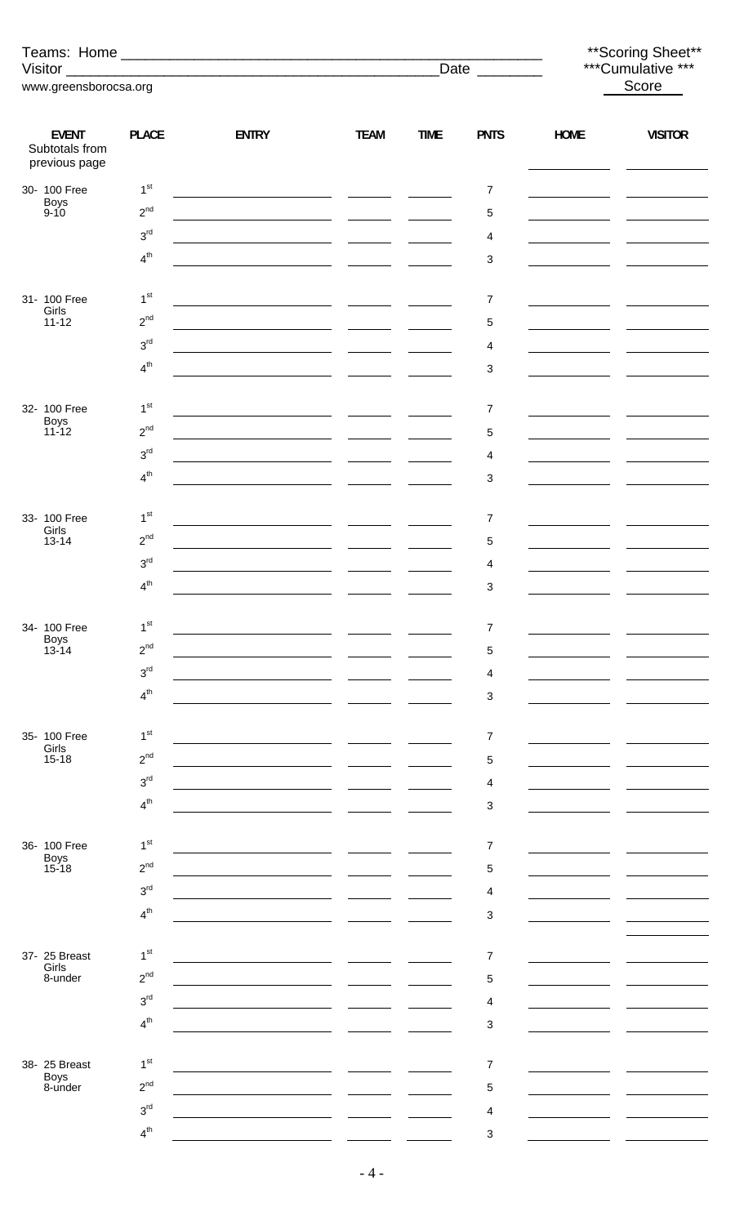|                                                 |                                    |                                                                                                                       |             |             | Date ________  |                                             | ** Scoring Sheet**<br>***Cumulative *** |
|-------------------------------------------------|------------------------------------|-----------------------------------------------------------------------------------------------------------------------|-------------|-------------|----------------|---------------------------------------------|-----------------------------------------|
| www.greensborocsa.org                           |                                    |                                                                                                                       |             |             |                |                                             | Score                                   |
|                                                 |                                    |                                                                                                                       |             |             |                |                                             |                                         |
| <b>EVENT</b><br>Subtotals from<br>previous page | <b>PLACE</b>                       | <b>ENTRY</b>                                                                                                          | <b>TEAM</b> | <b>TIME</b> | <b>PNTS</b>    | <b>HOME</b>                                 | <b>VISITOR</b>                          |
| 30- 100 Free                                    | 1 <sup>st</sup>                    |                                                                                                                       |             |             | $\overline{7}$ |                                             |                                         |
| Boys<br>9-10                                    | $2^{nd}$                           | <u> 1989 - Johann Marie Barn, mars eta inperiodo</u>                                                                  |             |             | 5              |                                             |                                         |
|                                                 | 3 <sup>rd</sup>                    | <u> 1989 - Johann Marie Barn, mars eta industrial eta industrial eta industrial eta industrial eta industrial e</u>   |             |             | 4              | <u> 1990 - Jan Barnett, politik e</u>       |                                         |
|                                                 | 4 <sup>th</sup>                    |                                                                                                                       |             |             | 3              |                                             |                                         |
| 31- 100 Free                                    | 1 <sup>st</sup>                    |                                                                                                                       |             |             | $\overline{7}$ |                                             |                                         |
| Girls<br>$11 - 12$                              | $2^{nd}$                           | <u> 1989 - Johann Marie Barn, mars eta inperiodore</u>                                                                |             |             | 5              |                                             |                                         |
|                                                 | 3 <sup>rd</sup>                    | <u> 1989 - Johann Harry Harry Harry Harry Harry Harry Harry Harry Harry Harry Harry Harry Harry Harry Harry Harry</u> |             |             | 4              |                                             |                                         |
|                                                 | $4^{th}$                           |                                                                                                                       |             |             | 3              |                                             |                                         |
|                                                 |                                    |                                                                                                                       |             |             |                |                                             |                                         |
| 32- 100 Free                                    | 1 <sup>st</sup>                    |                                                                                                                       |             |             | $\overline{7}$ |                                             |                                         |
| Boys<br>11-12                                   | $2^{nd}$                           |                                                                                                                       |             |             | 5              |                                             |                                         |
|                                                 | 3 <sup>rd</sup>                    | <u> 1989 - Johann Barnett, fransk politik (</u>                                                                       |             |             | 4              | <u> 1980 - John Barnett, fransk kanton </u> |                                         |
|                                                 | $4^{th}$                           |                                                                                                                       |             |             | 3              |                                             |                                         |
|                                                 |                                    |                                                                                                                       |             |             |                |                                             |                                         |
| 33- 100 Free<br>Girls                           | 1 <sup>st</sup>                    |                                                                                                                       |             |             | 7              |                                             |                                         |
| $13 - 14$                                       | $2^{nd}$                           | <u> 1989 - Johann Harry Harry Harry Harry Harry Harry Harry Harry Harry Harry Harry Harry Harry Harry Harry Harry</u> |             |             | 5              |                                             |                                         |
|                                                 | 3 <sup>rd</sup><br>4 <sup>th</sup> |                                                                                                                       |             |             | 4              |                                             |                                         |
|                                                 |                                    |                                                                                                                       |             |             | 3              |                                             |                                         |
| 34- 100 Free                                    | 1 <sup>st</sup>                    |                                                                                                                       |             |             | 7              |                                             |                                         |
| <b>Boys</b><br>$13 - 14$                        | $2^{nd}$                           |                                                                                                                       |             |             | 5              |                                             |                                         |
|                                                 | 3 <sup>rd</sup>                    |                                                                                                                       |             |             | 4              |                                             |                                         |
|                                                 | 4 <sup>th</sup>                    |                                                                                                                       |             |             | 3              |                                             |                                         |
|                                                 |                                    |                                                                                                                       |             |             |                |                                             |                                         |
| 35- 100 Free<br>Girls                           | 1 <sup>st</sup>                    |                                                                                                                       |             |             | 7              |                                             |                                         |
| $15 - 18$                                       | $2^{nd}$                           |                                                                                                                       |             |             | 5              |                                             |                                         |
|                                                 | 3 <sup>rd</sup>                    |                                                                                                                       |             |             | 4              |                                             |                                         |
|                                                 | 4 <sup>th</sup>                    |                                                                                                                       |             |             | 3              |                                             |                                         |
| 36- 100 Free                                    | 1 <sup>st</sup>                    |                                                                                                                       |             |             | 7              |                                             |                                         |
| <b>Boys</b><br>$15 - 18$                        | $2^{nd}$                           |                                                                                                                       |             |             | 5              |                                             |                                         |
|                                                 | 3 <sup>rd</sup>                    |                                                                                                                       |             |             | 4              |                                             |                                         |
|                                                 | 4 <sup>th</sup>                    |                                                                                                                       |             |             | 3              |                                             |                                         |
|                                                 |                                    |                                                                                                                       |             |             |                |                                             |                                         |
| 37- 25 Breast                                   | 1 <sup>st</sup>                    |                                                                                                                       |             |             | 7              |                                             |                                         |
| Girls<br>8-under                                | $2^{nd}$                           |                                                                                                                       |             |             | 5              |                                             |                                         |
|                                                 | 3 <sup>rd</sup>                    |                                                                                                                       |             |             | 4              |                                             |                                         |
|                                                 | 4 <sup>th</sup>                    |                                                                                                                       |             |             | 3              |                                             |                                         |
|                                                 |                                    |                                                                                                                       |             |             |                |                                             |                                         |
| 38- 25 Breast<br>Boys                           | 1 <sup>st</sup>                    |                                                                                                                       |             |             | 7              |                                             |                                         |
| 8-under                                         | $2^{nd}$                           |                                                                                                                       |             |             | 5              |                                             |                                         |
|                                                 | 3 <sup>rd</sup>                    |                                                                                                                       |             |             | 4              |                                             |                                         |
|                                                 | $\mathbf{A}^{\text{th}}$           |                                                                                                                       |             |             | 3              |                                             |                                         |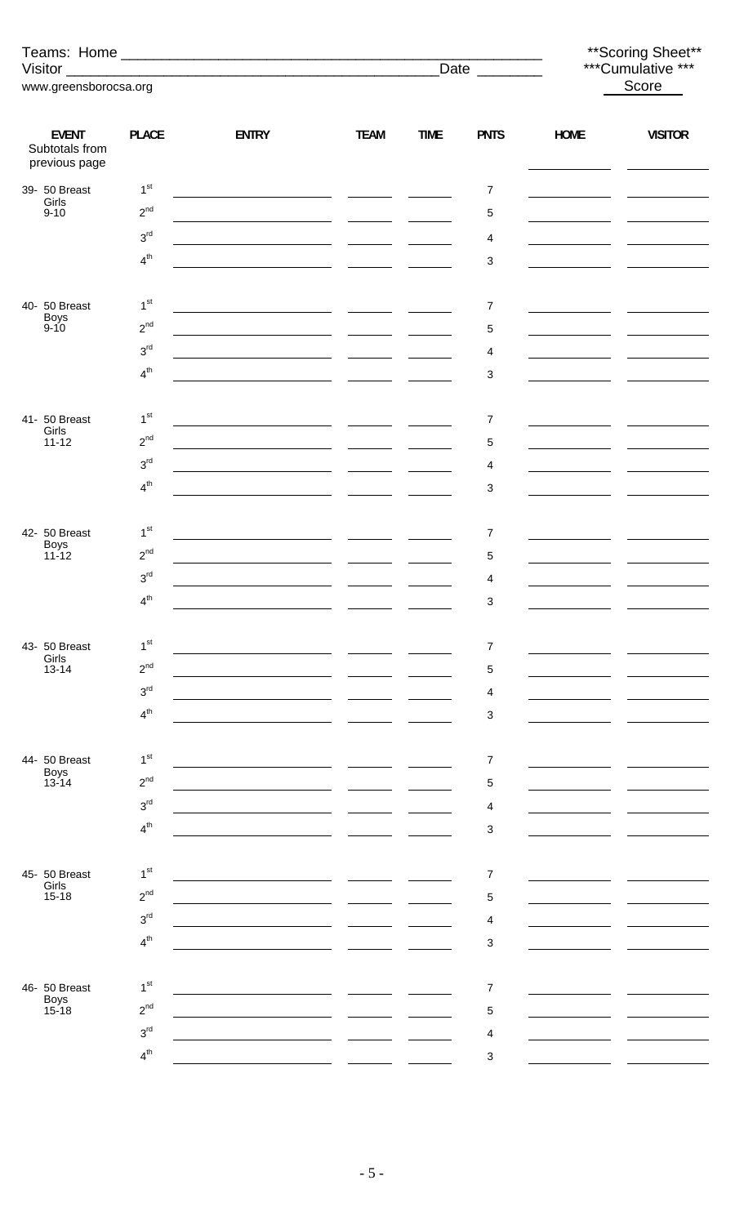|                                                 |                 |                                                                                                                                                                                                                                      |                                |             | Date ________  |                                     | ** Scoring Sheet**<br>***Cumulative *** |  |
|-------------------------------------------------|-----------------|--------------------------------------------------------------------------------------------------------------------------------------------------------------------------------------------------------------------------------------|--------------------------------|-------------|----------------|-------------------------------------|-----------------------------------------|--|
| www.greensborocsa.org                           |                 |                                                                                                                                                                                                                                      |                                |             |                | Score                               |                                         |  |
|                                                 |                 |                                                                                                                                                                                                                                      |                                |             |                |                                     |                                         |  |
| <b>EVENT</b><br>Subtotals from<br>previous page | <b>PLACE</b>    | <b>ENTRY</b>                                                                                                                                                                                                                         | <b>TEAM</b>                    | <b>TIME</b> | <b>PNTS</b>    | <b>HOME</b>                         | <b>VISITOR</b>                          |  |
| 39- 50 Breast                                   | 1 <sup>st</sup> |                                                                                                                                                                                                                                      |                                |             | 7              | the company of the company of       |                                         |  |
| Girls<br>$9 - 10$                               | $2^{nd}$        |                                                                                                                                                                                                                                      |                                |             | 5              | the control of the control of the   |                                         |  |
|                                                 | 3 <sup>rd</sup> |                                                                                                                                                                                                                                      |                                |             | 4              | the company of the company of       |                                         |  |
|                                                 | $4^{th}$        | <u> 1989 - Johann Marie Barn, mars eta industrial eta industrial eta industrial eta industrial eta industrial e</u>                                                                                                                  |                                |             | 3              |                                     |                                         |  |
|                                                 |                 |                                                                                                                                                                                                                                      |                                |             |                |                                     |                                         |  |
| 40- 50 Breast                                   | 1 <sup>st</sup> | <u> 1989 - Johann Marie Barn, mars eta inperiodo</u>                                                                                                                                                                                 |                                |             | 7              | the contract of the contract of the |                                         |  |
| Boys<br>9-10                                    | $2^{nd}$        |                                                                                                                                                                                                                                      |                                |             | 5              |                                     |                                         |  |
|                                                 | 3 <sup>rd</sup> | <u> 1989 - Johann Barbara, martin amerikan per</u>                                                                                                                                                                                   |                                |             | 4              | and the company of the company      |                                         |  |
|                                                 | 4 <sup>th</sup> |                                                                                                                                                                                                                                      |                                |             | 3              |                                     |                                         |  |
|                                                 |                 |                                                                                                                                                                                                                                      |                                |             |                |                                     |                                         |  |
| 41- 50 Breast                                   | 1 <sup>st</sup> |                                                                                                                                                                                                                                      |                                |             | 7              |                                     |                                         |  |
| Girls<br>$11 - 12$                              | $2^{nd}$        |                                                                                                                                                                                                                                      |                                |             | 5              |                                     |                                         |  |
|                                                 | 3 <sup>rd</sup> |                                                                                                                                                                                                                                      |                                |             | 4              |                                     |                                         |  |
|                                                 | 4 <sup>th</sup> | <u> 1989 - Johann Harry Harry Harry Harry Harry Harry Harry Harry Harry Harry Harry Harry Harry Harry Harry Harry</u>                                                                                                                |                                |             | 3              |                                     |                                         |  |
|                                                 |                 |                                                                                                                                                                                                                                      |                                |             |                |                                     |                                         |  |
| 42- 50 Breast                                   | 1 <sup>st</sup> | <u>and the state of the state of the state of the state of the state of the state of the state of the state of the state of the state of the state of the state of the state of the state of the state of the state of the state</u> | <u>and the second property</u> |             | 7              |                                     |                                         |  |
| Boys<br>11-12                                   | $2^{nd}$        |                                                                                                                                                                                                                                      |                                |             | 5              |                                     |                                         |  |
|                                                 | 3 <sup>rd</sup> |                                                                                                                                                                                                                                      |                                |             | 4              |                                     |                                         |  |
|                                                 | 4 <sup>th</sup> |                                                                                                                                                                                                                                      |                                |             | 3              |                                     |                                         |  |
|                                                 |                 |                                                                                                                                                                                                                                      |                                |             |                |                                     |                                         |  |
| 43- 50 Breast                                   | 1 <sup>st</sup> |                                                                                                                                                                                                                                      |                                |             | $\overline{7}$ |                                     |                                         |  |
| Girls<br>$13 - 14$                              | $2^{nd}$        |                                                                                                                                                                                                                                      |                                |             | 5              |                                     |                                         |  |
|                                                 | 3 <sup>rd</sup> |                                                                                                                                                                                                                                      |                                |             | 4              |                                     |                                         |  |
|                                                 | 4 <sup>th</sup> |                                                                                                                                                                                                                                      |                                |             | 3              |                                     |                                         |  |
|                                                 |                 |                                                                                                                                                                                                                                      |                                |             |                |                                     |                                         |  |
| 44- 50 Breast                                   | 1 <sup>st</sup> |                                                                                                                                                                                                                                      |                                |             | 7              |                                     |                                         |  |
| Boys<br>$13 - 14$                               | $2^{nd}$        |                                                                                                                                                                                                                                      |                                |             | 5              |                                     |                                         |  |
|                                                 | 3 <sup>rd</sup> |                                                                                                                                                                                                                                      |                                |             | 4              |                                     |                                         |  |
|                                                 | 4 <sup>th</sup> |                                                                                                                                                                                                                                      |                                |             | 3              |                                     |                                         |  |
|                                                 |                 |                                                                                                                                                                                                                                      |                                |             |                |                                     |                                         |  |
| 45- 50 Breast                                   | 1 <sup>st</sup> |                                                                                                                                                                                                                                      |                                |             | 7              |                                     |                                         |  |
| Girls<br>$15 - 18$                              | $2^{nd}$        |                                                                                                                                                                                                                                      |                                |             | 5              |                                     |                                         |  |
|                                                 | 3 <sup>rd</sup> |                                                                                                                                                                                                                                      |                                |             | 4              |                                     |                                         |  |
|                                                 | 4 <sup>th</sup> |                                                                                                                                                                                                                                      |                                |             | 3              |                                     |                                         |  |
|                                                 |                 |                                                                                                                                                                                                                                      |                                |             |                |                                     |                                         |  |
| 46- 50 Breast                                   | 1 <sup>st</sup> |                                                                                                                                                                                                                                      |                                |             | 7              |                                     |                                         |  |
| Boys<br>15-18                                   | $2^{nd}$        |                                                                                                                                                                                                                                      |                                |             | 5              |                                     |                                         |  |
|                                                 | 3 <sup>rd</sup> |                                                                                                                                                                                                                                      |                                |             | 4              |                                     |                                         |  |
|                                                 | 4 <sup>th</sup> |                                                                                                                                                                                                                                      |                                |             | 3              |                                     |                                         |  |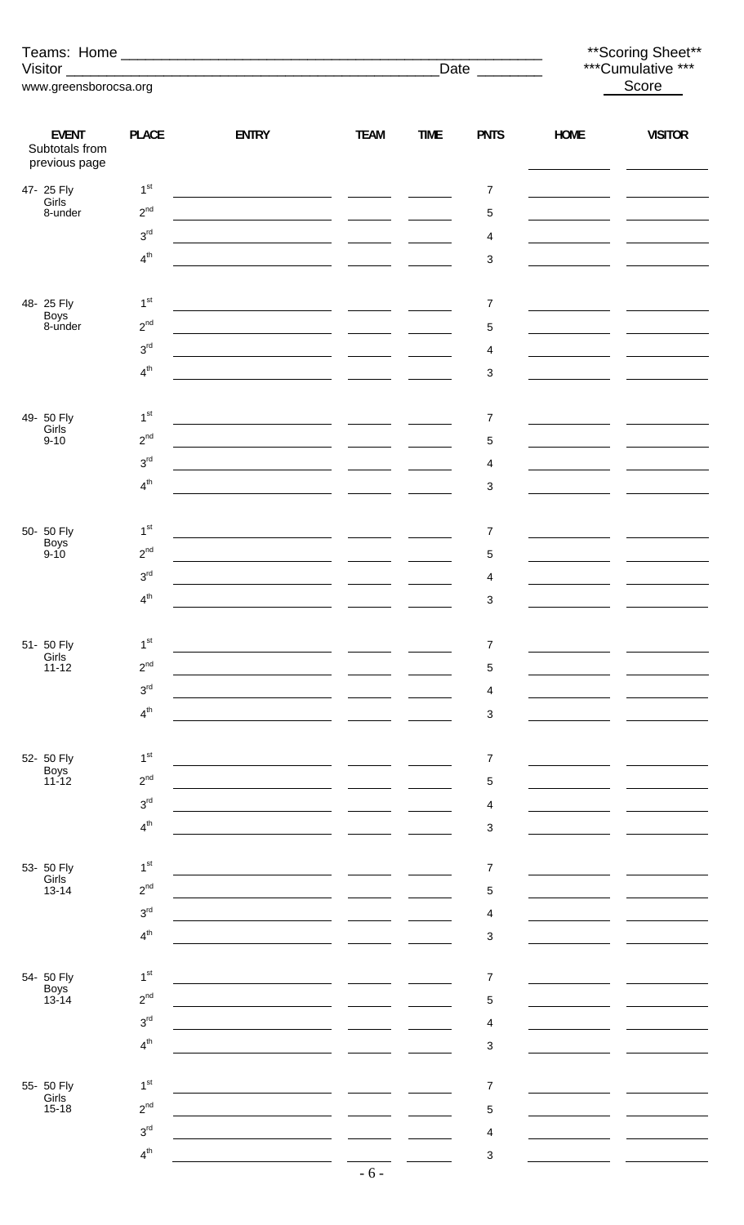|                                                 |                             |                                                                                                                       |             |             | Date $\qquad$  |                                                                                                                          | ** Scoring Sheet**<br>***Cumulative *** |  |
|-------------------------------------------------|-----------------------------|-----------------------------------------------------------------------------------------------------------------------|-------------|-------------|----------------|--------------------------------------------------------------------------------------------------------------------------|-----------------------------------------|--|
| www.greensborocsa.org                           |                             |                                                                                                                       |             |             |                |                                                                                                                          | Score                                   |  |
|                                                 |                             |                                                                                                                       |             |             |                |                                                                                                                          |                                         |  |
| <b>EVENT</b><br>Subtotals from<br>previous page | <b>PLACE</b>                | <b>ENTRY</b>                                                                                                          | <b>TEAM</b> | <b>TIME</b> | <b>PNTS</b>    | <b>HOME</b>                                                                                                              | <b>VISITOR</b>                          |  |
| 47- 25 Fly<br>Girls                             | 1 <sup>st</sup>             |                                                                                                                       |             |             | $\overline{7}$ | <u> 1989 - John Stone, Amerikan bisa per</u>                                                                             |                                         |  |
| 8-under                                         | $2^{nd}$                    |                                                                                                                       |             |             | 5              | <u> 1989 - Johann Barbara, politik eta politik eta politik eta politik eta politik eta politik eta politik eta p</u> oli |                                         |  |
|                                                 | 3 <sup>rd</sup>             |                                                                                                                       |             |             | 4              | <u> 1989 - Johann Barbara, martx</u>                                                                                     |                                         |  |
|                                                 | $4^{th}$                    | <u> 1989 - Johann Harry Harry Harry Harry Harry Harry Harry Harry Harry Harry Harry Harry Harry Harry Harry Harry</u> |             |             | 3              |                                                                                                                          |                                         |  |
|                                                 |                             |                                                                                                                       |             |             |                |                                                                                                                          |                                         |  |
| 48-25 Fly<br><b>Boys</b>                        | 1 <sup>st</sup>             | <u> 1980 - Jan Samuel Barbara, política establecente de la propia de la propia de la propia de la propia de la p</u>  |             |             | $\overline{7}$ |                                                                                                                          |                                         |  |
| 8-under                                         | $2^{nd}$                    |                                                                                                                       |             |             | $\mathbf 5$    | <u> 1989 - Johann Barbara, politik eta politik eta politik eta politik eta politik eta politik eta politik eta p</u> oli |                                         |  |
|                                                 | 3 <sup>rd</sup>             | <u> 1980 - Andrea Andrew Maria (h. 1980).</u>                                                                         |             |             | 4              |                                                                                                                          |                                         |  |
|                                                 | $4^{th}$                    | <u> 1990 - Jan James James, politik eta politik eta politik eta politik eta politik eta politik eta politik eta</u>   |             |             | 3              |                                                                                                                          |                                         |  |
| 49- 50 Fly                                      | 1 <sup>st</sup>             |                                                                                                                       |             |             | $\overline{7}$ |                                                                                                                          |                                         |  |
| Girls<br>$9 - 10$                               | $2^{nd}$                    |                                                                                                                       |             |             | 5              |                                                                                                                          |                                         |  |
|                                                 | 3 <sup>rd</sup>             |                                                                                                                       |             |             | 4              | <u> 1980 - John Barn Barn, amerikansk politiker</u>                                                                      |                                         |  |
|                                                 | $4^{th}$                    |                                                                                                                       |             |             | 3              | <u> 1989 - John Barnett, fransk konge</u>                                                                                |                                         |  |
|                                                 |                             | <u> 1990 - Jan Stein Berlin, amerikan berlinda</u>                                                                    |             |             |                |                                                                                                                          |                                         |  |
| 50- 50 Fly                                      | 1 <sup>st</sup>             |                                                                                                                       |             |             | 7              |                                                                                                                          |                                         |  |
| Boys<br>9-10                                    | $2^{nd}$                    | <u> 1980 - Johann Marie Barn, mars an t-Amerikaansk ferhandsk kommunist (d. 1981)</u>                                 |             |             | 5              |                                                                                                                          |                                         |  |
|                                                 | 3 <sup>rd</sup>             |                                                                                                                       |             |             | 4              |                                                                                                                          |                                         |  |
|                                                 | $4^{th}$                    |                                                                                                                       |             |             | 3              |                                                                                                                          |                                         |  |
|                                                 |                             |                                                                                                                       |             |             |                |                                                                                                                          |                                         |  |
| 51- 50 Fly                                      | 1 <sup>st</sup>             |                                                                                                                       |             |             | $\overline{7}$ |                                                                                                                          |                                         |  |
| Girls<br>$11 - 12$                              | $2^{nd}$                    |                                                                                                                       |             |             | 5              |                                                                                                                          |                                         |  |
|                                                 | 3 <sup>rd</sup>             |                                                                                                                       |             |             | 4              |                                                                                                                          |                                         |  |
|                                                 | 4 <sup>th</sup>             |                                                                                                                       |             |             | 3              |                                                                                                                          |                                         |  |
|                                                 |                             |                                                                                                                       |             |             |                |                                                                                                                          |                                         |  |
| 52- 50 Fly<br>Boys                              | 1 <sup>st</sup>             |                                                                                                                       |             |             | 7              |                                                                                                                          |                                         |  |
| $11 - 12$                                       | $2^{nd}$                    |                                                                                                                       |             |             | 5              |                                                                                                                          |                                         |  |
|                                                 | 3 <sup>rd</sup>             |                                                                                                                       |             |             | 4              |                                                                                                                          |                                         |  |
|                                                 | 4 <sup>th</sup>             |                                                                                                                       |             |             | 3              |                                                                                                                          |                                         |  |
| 53- 50 Fly                                      | 1 <sup>st</sup>             |                                                                                                                       |             |             | $\overline{7}$ |                                                                                                                          |                                         |  |
| Girls<br>$13 - 14$                              | $2^{nd}$                    |                                                                                                                       |             |             | 5              |                                                                                                                          |                                         |  |
|                                                 | 3 <sup>rd</sup>             |                                                                                                                       |             |             | 4              |                                                                                                                          |                                         |  |
|                                                 | 4 <sup>th</sup>             |                                                                                                                       |             |             | 3              |                                                                                                                          |                                         |  |
|                                                 |                             |                                                                                                                       |             |             |                |                                                                                                                          |                                         |  |
| 54- 50 Fly<br>Boys                              | 1 <sup>st</sup>             |                                                                                                                       |             |             | $\overline{7}$ |                                                                                                                          |                                         |  |
| $13 - 14$                                       | $2^{nd}$                    |                                                                                                                       |             |             | 5              |                                                                                                                          |                                         |  |
|                                                 | 3 <sup>rd</sup>             |                                                                                                                       |             |             | 4              |                                                                                                                          |                                         |  |
|                                                 | 4 <sup>th</sup>             |                                                                                                                       |             |             | 3              |                                                                                                                          |                                         |  |
|                                                 |                             |                                                                                                                       |             |             |                |                                                                                                                          |                                         |  |
| 55- 50 Fly<br>Girls                             | 1 <sup>st</sup><br>$2^{nd}$ |                                                                                                                       |             |             | 7              |                                                                                                                          |                                         |  |
| $15 - 18$                                       | 3 <sup>rd</sup>             |                                                                                                                       |             |             | 5              |                                                                                                                          |                                         |  |
|                                                 | $4^{th}$                    |                                                                                                                       |             |             | 4              |                                                                                                                          |                                         |  |
|                                                 |                             |                                                                                                                       |             |             | 3              |                                                                                                                          |                                         |  |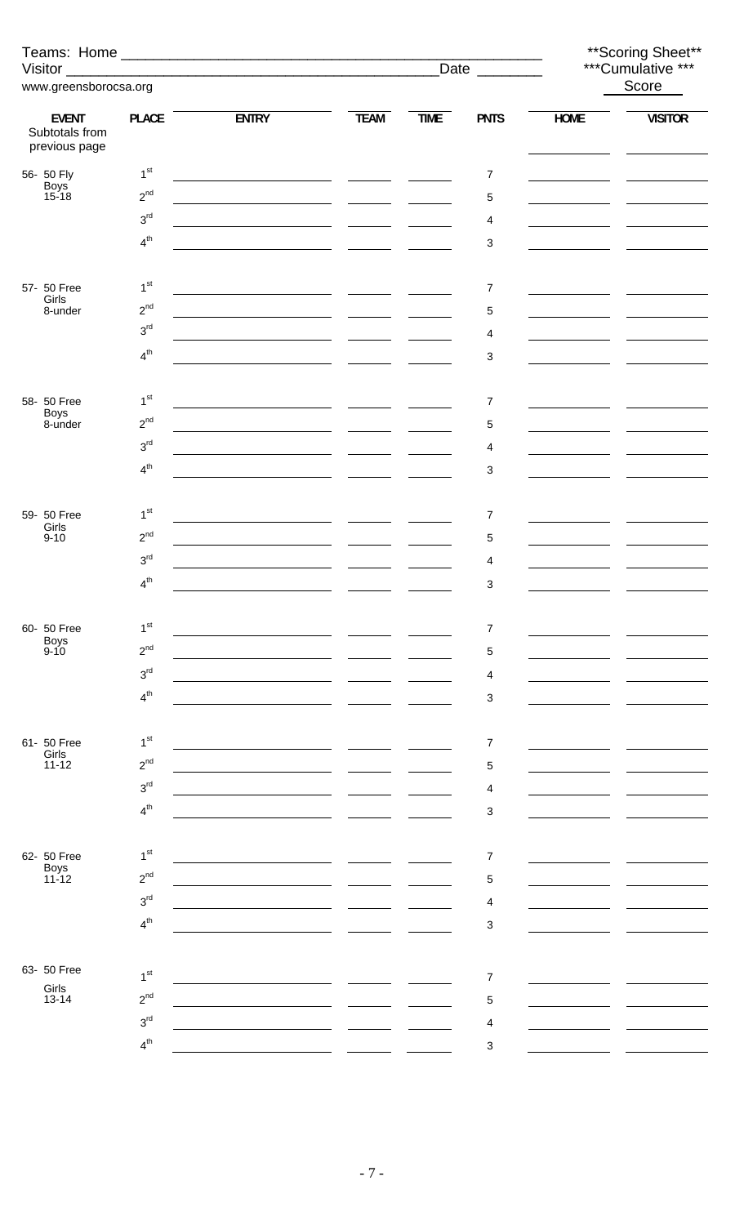|                                                 |                 |                                                                                                                      |                          |             | Date ________             | ** Scoring Sheet**<br>***Cumulative *** |                |  |
|-------------------------------------------------|-----------------|----------------------------------------------------------------------------------------------------------------------|--------------------------|-------------|---------------------------|-----------------------------------------|----------------|--|
| www.greensborocsa.org                           |                 |                                                                                                                      |                          |             |                           |                                         | Score          |  |
|                                                 |                 |                                                                                                                      |                          |             |                           |                                         |                |  |
| <b>EVENT</b><br>Subtotals from<br>previous page | <b>PLACE</b>    | <b>ENTRY</b>                                                                                                         | <b>TEAM</b>              | <b>TIME</b> | <b>PNTS</b>               | <b>HOME</b>                             | <b>VISITOR</b> |  |
| 56- 50 Fly                                      | 1 <sup>st</sup> | <u> 1980 - Johann John Stone, mars and de la provincia de la provincia de la provincia de la provincia de la pro</u> |                          |             | $\boldsymbol{7}$          |                                         |                |  |
| Boys<br>15-18                                   | $2^{nd}$        |                                                                                                                      |                          |             | 5                         |                                         |                |  |
|                                                 | 3 <sup>rd</sup> | <u> 1980 - Jan Samuel Barbara, martin a</u>                                                                          |                          |             | 4                         |                                         |                |  |
|                                                 | $4^{th}$        |                                                                                                                      |                          |             | $\sqrt{3}$                |                                         |                |  |
|                                                 |                 |                                                                                                                      |                          |             |                           |                                         |                |  |
| 57- 50 Free                                     | 1 <sup>st</sup> | <u> 1989 - Johann Barnett, fransk politik (</u>                                                                      |                          |             | 7                         |                                         |                |  |
| Girls<br>8-under                                | $2^{nd}$        | <u> 1990 - Johann Barn, amerikansk politiker (</u> † 1920)                                                           |                          |             | $\,$ 5 $\,$               |                                         |                |  |
|                                                 | $3^{\text{rd}}$ |                                                                                                                      |                          |             | 4                         |                                         |                |  |
|                                                 | 4 <sup>th</sup> |                                                                                                                      |                          |             | $\ensuremath{\mathsf{3}}$ |                                         |                |  |
|                                                 |                 |                                                                                                                      |                          |             |                           |                                         |                |  |
| 58- 50 Free                                     | 1 <sup>st</sup> |                                                                                                                      |                          |             | $\overline{7}$            |                                         |                |  |
| <b>Boys</b><br>8-under                          | $2^{nd}$        | <u> 1980 - Andrea Andrew Maria (b. 1980)</u>                                                                         |                          |             | 5                         |                                         |                |  |
|                                                 | 3 <sup>rd</sup> | <u> 1980 - Jan Stein Berlin, amerikan bisa di sebagai personal personal personal personal personal personal per</u>  |                          |             | 4                         |                                         |                |  |
|                                                 | 4 <sup>th</sup> |                                                                                                                      |                          |             | 3                         |                                         |                |  |
|                                                 |                 |                                                                                                                      |                          |             |                           |                                         |                |  |
| 59- 50 Free                                     | 1 <sup>st</sup> | <u> 1989 - Johann Marie Barn, mars et al. (</u>                                                                      |                          |             | $\overline{7}$            |                                         |                |  |
| Girls<br>$9 - 10$                               | $2^{nd}$        |                                                                                                                      | $\overline{\phantom{a}}$ |             | 5                         |                                         |                |  |
|                                                 | 3 <sup>rd</sup> |                                                                                                                      |                          |             | $\overline{4}$            |                                         |                |  |
|                                                 | 4 <sup>th</sup> |                                                                                                                      |                          |             | 3                         |                                         |                |  |
|                                                 |                 |                                                                                                                      |                          |             |                           |                                         |                |  |
| 60- 50 Free                                     | 1 <sup>st</sup> |                                                                                                                      |                          |             | 7                         |                                         |                |  |
| Boys<br>9-10                                    | $2^{nd}$        |                                                                                                                      |                          |             | 5                         |                                         |                |  |
|                                                 | 3 <sup>rd</sup> |                                                                                                                      |                          |             | 4                         |                                         |                |  |
|                                                 | 4 <sup>th</sup> |                                                                                                                      |                          |             | $\sqrt{3}$                |                                         |                |  |
|                                                 |                 |                                                                                                                      |                          |             |                           |                                         |                |  |
| 61- 50 Free                                     | 1 <sup>st</sup> |                                                                                                                      |                          |             | $\overline{7}$            |                                         |                |  |
| Girls<br>$11 - 12$                              | $2^{nd}$        |                                                                                                                      |                          |             | 5                         |                                         |                |  |
|                                                 | 3 <sup>rd</sup> |                                                                                                                      |                          |             | 4                         |                                         |                |  |
|                                                 | 4 <sup>th</sup> |                                                                                                                      |                          |             | $\sqrt{3}$                |                                         |                |  |
|                                                 |                 |                                                                                                                      |                          |             |                           |                                         |                |  |
| 62- 50 Free                                     | 1 <sup>st</sup> |                                                                                                                      |                          |             | 7                         |                                         |                |  |
| Boys<br>11-12                                   | $2^{nd}$        |                                                                                                                      |                          |             | 5                         |                                         |                |  |
|                                                 | 3 <sup>rd</sup> |                                                                                                                      |                          |             | 4                         |                                         |                |  |
|                                                 | 4 <sup>th</sup> |                                                                                                                      |                          |             | $\sqrt{3}$                |                                         |                |  |
|                                                 |                 |                                                                                                                      |                          |             |                           |                                         |                |  |
| 63- 50 Free                                     | 1 <sup>st</sup> |                                                                                                                      |                          |             | $\overline{7}$            |                                         |                |  |
| Girls<br>$13 - 14$                              | $2^{nd}$        |                                                                                                                      |                          |             | 5                         |                                         |                |  |
|                                                 | 3 <sup>rd</sup> |                                                                                                                      |                          |             | 4                         |                                         |                |  |
|                                                 | 4 <sup>th</sup> |                                                                                                                      |                          |             | 3                         |                                         |                |  |
|                                                 |                 |                                                                                                                      |                          |             |                           |                                         |                |  |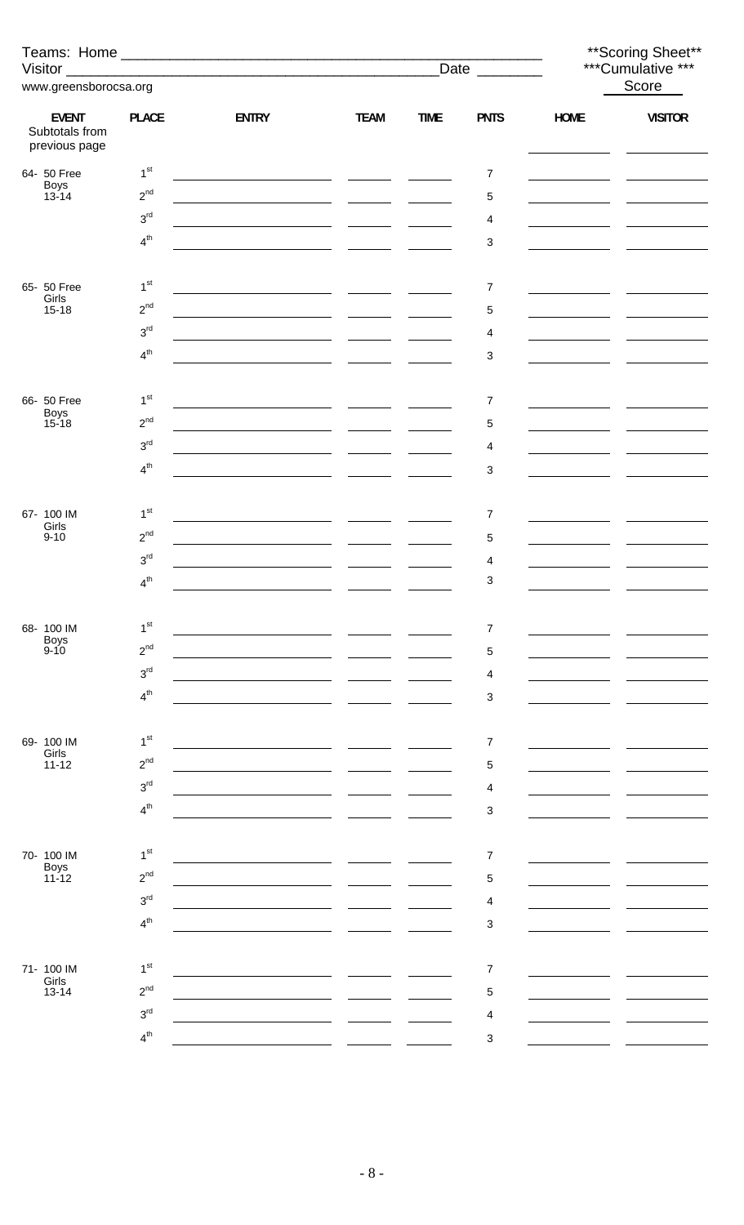|                                                 |                 |                                                                                                                       | ** Scoring Sheet**<br>***Cumulative ***                                                                                                                                                                                              |             |                |                             |                |
|-------------------------------------------------|-----------------|-----------------------------------------------------------------------------------------------------------------------|--------------------------------------------------------------------------------------------------------------------------------------------------------------------------------------------------------------------------------------|-------------|----------------|-----------------------------|----------------|
|                                                 |                 |                                                                                                                       |                                                                                                                                                                                                                                      | Date $\_\_$ |                |                             |                |
| www.greensborocsa.org                           |                 |                                                                                                                       |                                                                                                                                                                                                                                      |             |                |                             | Score          |
| <b>EVENT</b><br>Subtotals from<br>previous page | <b>PLACE</b>    | <b>ENTRY</b>                                                                                                          | <b>TEAM</b>                                                                                                                                                                                                                          | <b>TIME</b> | <b>PNTS</b>    | <b>HOME</b>                 | <b>VISITOR</b> |
| 64- 50 Free                                     | 1 <sup>st</sup> |                                                                                                                       |                                                                                                                                                                                                                                      |             | $\overline{7}$ |                             |                |
| Boys<br>13-14                                   | $2^{nd}$        | <u> 1989 - Johann Marie Barn, mars and de Brasilian (b. 1989)</u>                                                     |                                                                                                                                                                                                                                      |             | $\,$ 5 $\,$    |                             |                |
|                                                 | 3 <sup>rd</sup> |                                                                                                                       | $\sim$ $-$                                                                                                                                                                                                                           |             | 4              |                             |                |
|                                                 | 4 <sup>th</sup> |                                                                                                                       |                                                                                                                                                                                                                                      |             | 3              |                             |                |
|                                                 |                 |                                                                                                                       |                                                                                                                                                                                                                                      |             |                |                             |                |
| 65- 50 Free<br>Girls                            | 1 <sup>st</sup> | <u> 1989 - Johann Harry Harry Harry Harry Harry Harry Harry Harry Harry Harry Harry Harry Harry Harry Harry Harry</u> |                                                                                                                                                                                                                                      |             | 7              |                             |                |
| $15 - 18$                                       | $2^{nd}$        |                                                                                                                       | $\sim$ 100 $\sim$ 100 $\sim$                                                                                                                                                                                                         |             | 5              |                             |                |
|                                                 | $3^{\text{rd}}$ |                                                                                                                       |                                                                                                                                                                                                                                      |             | 4              |                             |                |
|                                                 | 4 <sup>th</sup> |                                                                                                                       |                                                                                                                                                                                                                                      |             | 3              |                             |                |
|                                                 |                 |                                                                                                                       |                                                                                                                                                                                                                                      |             |                |                             |                |
| 66- 50 Free                                     | 1 <sup>st</sup> |                                                                                                                       |                                                                                                                                                                                                                                      |             | $\overline{7}$ | <u> 1989 - Andrea State</u> |                |
| Boys<br>15-18                                   | $2^{nd}$        |                                                                                                                       | $\sim$ $\sim$                                                                                                                                                                                                                        |             | 5              |                             |                |
|                                                 | 3 <sup>rd</sup> |                                                                                                                       | <u> The Community of the Community of the Community of the Community of the Community of the Community of the Community of the Community of the Community of the Community of the Community of the Community of the Community of</u> |             | 4              |                             |                |
|                                                 | 4 <sup>th</sup> |                                                                                                                       |                                                                                                                                                                                                                                      |             | 3              |                             |                |
|                                                 |                 |                                                                                                                       |                                                                                                                                                                                                                                      |             |                |                             |                |
| 67- 100 IM<br>Girls                             | 1 <sup>st</sup> |                                                                                                                       |                                                                                                                                                                                                                                      |             | 7              |                             |                |
| $9 - 10$                                        | $2^{nd}$        |                                                                                                                       |                                                                                                                                                                                                                                      |             | 5              |                             |                |
|                                                 | $3^{\text{rd}}$ |                                                                                                                       |                                                                                                                                                                                                                                      |             | 4              |                             |                |
|                                                 | $4^{th}$        |                                                                                                                       |                                                                                                                                                                                                                                      |             | 3              |                             |                |
| 68-100 IM                                       | 1 <sup>st</sup> |                                                                                                                       |                                                                                                                                                                                                                                      |             | $\overline{7}$ |                             |                |
| <b>Boys</b><br>$9 - 10$                         | $2^{nd}$        |                                                                                                                       |                                                                                                                                                                                                                                      |             |                |                             |                |
|                                                 | 3 <sup>rd</sup> |                                                                                                                       |                                                                                                                                                                                                                                      |             | 5<br>4         |                             |                |
|                                                 | 4 <sup>th</sup> |                                                                                                                       |                                                                                                                                                                                                                                      |             | 3              |                             |                |
|                                                 |                 |                                                                                                                       |                                                                                                                                                                                                                                      |             |                |                             |                |
| 69- 100 IM                                      | 1 <sup>st</sup> |                                                                                                                       |                                                                                                                                                                                                                                      |             | $\overline{7}$ |                             |                |
| Girls<br>$11 - 12$                              | $2^{nd}$        |                                                                                                                       |                                                                                                                                                                                                                                      |             | 5              |                             |                |
|                                                 | 3 <sup>rd</sup> |                                                                                                                       |                                                                                                                                                                                                                                      |             | 4              |                             |                |
|                                                 | 4 <sup>th</sup> |                                                                                                                       |                                                                                                                                                                                                                                      |             | 3              |                             |                |
|                                                 |                 |                                                                                                                       |                                                                                                                                                                                                                                      |             |                |                             |                |
| 70- 100 IM                                      | 1 <sup>st</sup> |                                                                                                                       |                                                                                                                                                                                                                                      |             | $\overline{7}$ |                             |                |
| Boys<br>11-12                                   | $2^{nd}$        |                                                                                                                       |                                                                                                                                                                                                                                      |             | 5              |                             |                |
|                                                 | 3 <sup>rd</sup> |                                                                                                                       |                                                                                                                                                                                                                                      |             | 4              |                             |                |
|                                                 | 4 <sup>th</sup> |                                                                                                                       |                                                                                                                                                                                                                                      |             | 3              |                             |                |
|                                                 |                 |                                                                                                                       |                                                                                                                                                                                                                                      |             |                |                             |                |
| 71- 100 IM                                      | 1 <sup>st</sup> |                                                                                                                       |                                                                                                                                                                                                                                      |             | $\overline{7}$ |                             |                |
| Girls<br>$13 - 14$                              | $2^{nd}$        |                                                                                                                       |                                                                                                                                                                                                                                      |             | 5              |                             |                |
|                                                 | 3 <sup>rd</sup> |                                                                                                                       |                                                                                                                                                                                                                                      |             | 4              |                             |                |
|                                                 | 4 <sup>th</sup> |                                                                                                                       |                                                                                                                                                                                                                                      |             | $\sqrt{3}$     |                             |                |